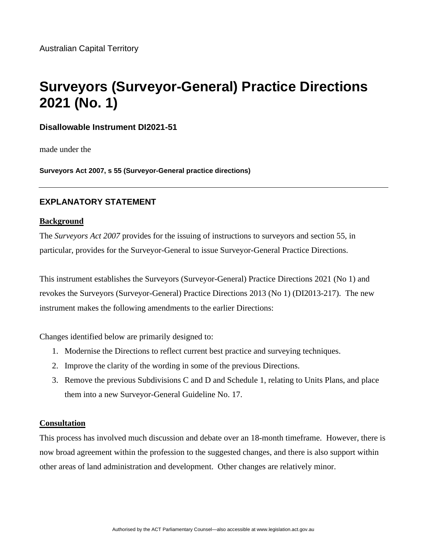# **Surveyors (Surveyor-General) Practice Directions 2021 (No. 1)**

# **Disallowable Instrument DI2021-51**

made under the

**Surveyors Act 2007, s 55 (Surveyor-General practice directions)**

# **EXPLANATORY STATEMENT**

## **Background**

The *Surveyors Act 2007* provides for the issuing of instructions to surveyors and section 55, in particular, provides for the Surveyor-General to issue Surveyor-General Practice Directions.

This instrument establishes the Surveyors (Surveyor-General) Practice Directions 2021 (No 1) and revokes the Surveyors (Surveyor-General) Practice Directions 2013 (No 1) (DI2013-217). The new instrument makes the following amendments to the earlier Directions:

Changes identified below are primarily designed to:

- 1. Modernise the Directions to reflect current best practice and surveying techniques.
- 2. Improve the clarity of the wording in some of the previous Directions.
- 3. Remove the previous Subdivisions C and D and Schedule 1, relating to Units Plans, and place them into a new Surveyor-General Guideline No. 17.

## **Consultation**

This process has involved much discussion and debate over an 18-month timeframe. However, there is now broad agreement within the profession to the suggested changes, and there is also support within other areas of land administration and development. Other changes are relatively minor.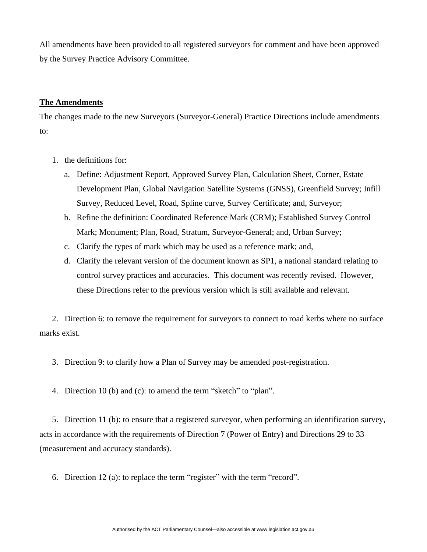All amendments have been provided to all registered surveyors for comment and have been approved by the Survey Practice Advisory Committee.

### **The Amendments**

The changes made to the new Surveyors (Surveyor-General) Practice Directions include amendments to:

- 1. the definitions for:
	- a. Define: Adjustment Report, Approved Survey Plan, Calculation Sheet, Corner, Estate Development Plan, Global Navigation Satellite Systems (GNSS), Greenfield Survey; Infill Survey, Reduced Level, Road, Spline curve, Survey Certificate; and, Surveyor;
	- b. Refine the definition: Coordinated Reference Mark (CRM); Established Survey Control Mark; Monument; Plan, Road, Stratum, Surveyor-General; and, Urban Survey;
	- c. Clarify the types of mark which may be used as a reference mark; and,
	- d. Clarify the relevant version of the document known as SP1, a national standard relating to control survey practices and accuracies. This document was recently revised. However, these Directions refer to the previous version which is still available and relevant.

2. Direction 6: to remove the requirement for surveyors to connect to road kerbs where no surface marks exist.

- 3. Direction 9: to clarify how a Plan of Survey may be amended post-registration.
- 4. Direction 10 (b) and (c): to amend the term "sketch" to "plan".

5. Direction 11 (b): to ensure that a registered surveyor, when performing an identification survey, acts in accordance with the requirements of Direction 7 (Power of Entry) and Directions 29 to 33 (measurement and accuracy standards).

6. Direction 12 (a): to replace the term "register" with the term "record".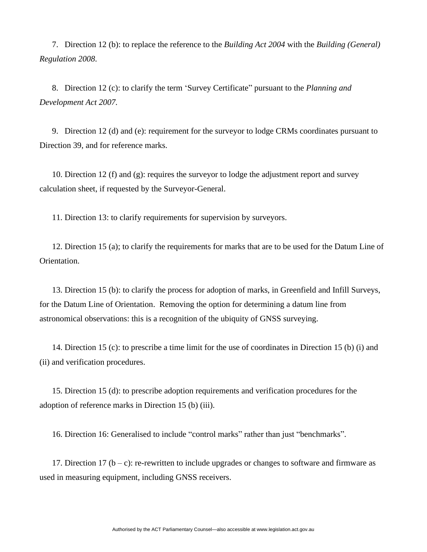7. Direction 12 (b): to replace the reference to the *Building Act 2004* with the *Building (General) Regulation 2008*.

8. Direction 12 (c): to clarify the term 'Survey Certificate" pursuant to the *Planning and Development Act 2007.*

9. Direction 12 (d) and (e): requirement for the surveyor to lodge CRMs coordinates pursuant to Direction 39, and for reference marks.

10. Direction 12 (f) and (g): requires the surveyor to lodge the adjustment report and survey calculation sheet, if requested by the Surveyor-General.

11. Direction 13: to clarify requirements for supervision by surveyors.

12. Direction 15 (a); to clarify the requirements for marks that are to be used for the Datum Line of Orientation.

13. Direction 15 (b): to clarify the process for adoption of marks, in Greenfield and Infill Surveys, for the Datum Line of Orientation. Removing the option for determining a datum line from astronomical observations: this is a recognition of the ubiquity of GNSS surveying.

14. Direction 15 (c): to prescribe a time limit for the use of coordinates in Direction 15 (b) (i) and (ii) and verification procedures.

15. Direction 15 (d): to prescribe adoption requirements and verification procedures for the adoption of reference marks in Direction 15 (b) (iii).

16. Direction 16: Generalised to include "control marks" rather than just "benchmarks".

17. Direction 17 ( $b - c$ ): re-rewritten to include upgrades or changes to software and firmware as used in measuring equipment, including GNSS receivers.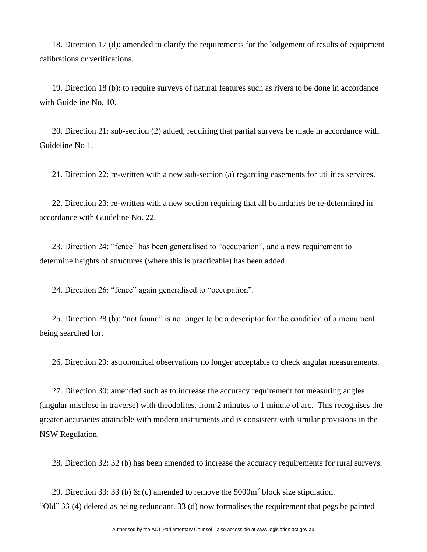18. Direction 17 (d): amended to clarify the requirements for the lodgement of results of equipment calibrations or verifications.

19. Direction 18 (b): to require surveys of natural features such as rivers to be done in accordance with Guideline No. 10.

20. Direction 21: sub-section (2) added, requiring that partial surveys be made in accordance with Guideline No 1.

21. Direction 22: re-written with a new sub-section (a) regarding easements for utilities services.

22. Direction 23: re-written with a new section requiring that all boundaries be re-determined in accordance with Guideline No. 22.

23. Direction 24: "fence" has been generalised to "occupation", and a new requirement to determine heights of structures (where this is practicable) has been added.

24. Direction 26: "fence" again generalised to "occupation".

25. Direction 28 (b): "not found" is no longer to be a descriptor for the condition of a monument being searched for.

26. Direction 29: astronomical observations no longer acceptable to check angular measurements.

27. Direction 30: amended such as to increase the accuracy requirement for measuring angles (angular misclose in traverse) with theodolites, from 2 minutes to 1 minute of arc. This recognises the greater accuracies attainable with modern instruments and is consistent with similar provisions in the NSW Regulation.

28. Direction 32: 32 (b) has been amended to increase the accuracy requirements for rural surveys.

29. Direction 33: 33 (b) & (c) amended to remove the  $5000m^2$  block size stipulation. "Old" 33 (4) deleted as being redundant. 33 (d) now formalises the requirement that pegs be painted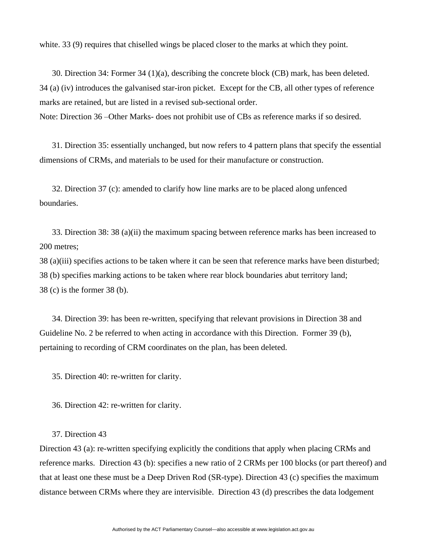white. 33 (9) requires that chiselled wings be placed closer to the marks at which they point.

30. Direction 34: Former 34 (1)(a), describing the concrete block (CB) mark, has been deleted. 34 (a) (iv) introduces the galvanised star-iron picket. Except for the CB, all other types of reference marks are retained, but are listed in a revised sub-sectional order.

Note: Direction 36 –Other Marks- does not prohibit use of CBs as reference marks if so desired.

31. Direction 35: essentially unchanged, but now refers to 4 pattern plans that specify the essential dimensions of CRMs, and materials to be used for their manufacture or construction.

32. Direction 37 (c): amended to clarify how line marks are to be placed along unfenced boundaries.

33. Direction 38: 38 (a)(ii) the maximum spacing between reference marks has been increased to 200 metres;

38 (a)(iii) specifies actions to be taken where it can be seen that reference marks have been disturbed; 38 (b) specifies marking actions to be taken where rear block boundaries abut territory land; 38 (c) is the former 38 (b).

34. Direction 39: has been re-written, specifying that relevant provisions in Direction 38 and Guideline No. 2 be referred to when acting in accordance with this Direction. Former 39 (b), pertaining to recording of CRM coordinates on the plan, has been deleted.

35. Direction 40: re-written for clarity.

36. Direction 42: re-written for clarity.

## 37. Direction 43

Direction 43 (a): re-written specifying explicitly the conditions that apply when placing CRMs and reference marks. Direction 43 (b): specifies a new ratio of 2 CRMs per 100 blocks (or part thereof) and that at least one these must be a Deep Driven Rod (SR-type). Direction 43 (c) specifies the maximum distance between CRMs where they are intervisible. Direction 43 (d) prescribes the data lodgement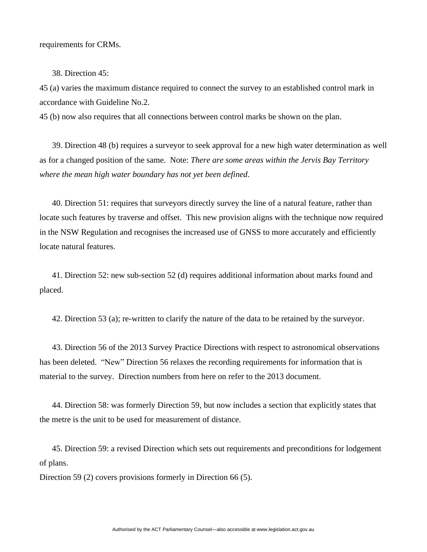requirements for CRMs.

38. Direction 45:

45 (a) varies the maximum distance required to connect the survey to an established control mark in accordance with Guideline No.2.

45 (b) now also requires that all connections between control marks be shown on the plan.

39. Direction 48 (b) requires a surveyor to seek approval for a new high water determination as well as for a changed position of the same. Note: *There are some areas within the Jervis Bay Territory where the mean high water boundary has not yet been defined*.

40. Direction 51: requires that surveyors directly survey the line of a natural feature, rather than locate such features by traverse and offset. This new provision aligns with the technique now required in the NSW Regulation and recognises the increased use of GNSS to more accurately and efficiently locate natural features.

41. Direction 52: new sub-section 52 (d) requires additional information about marks found and placed.

42. Direction 53 (a); re-written to clarify the nature of the data to be retained by the surveyor.

43. Direction 56 of the 2013 Survey Practice Directions with respect to astronomical observations has been deleted. "New" Direction 56 relaxes the recording requirements for information that is material to the survey. Direction numbers from here on refer to the 2013 document.

44. Direction 58: was formerly Direction 59, but now includes a section that explicitly states that the metre is the unit to be used for measurement of distance.

45. Direction 59: a revised Direction which sets out requirements and preconditions for lodgement of plans.

Direction 59 (2) covers provisions formerly in Direction 66 (5).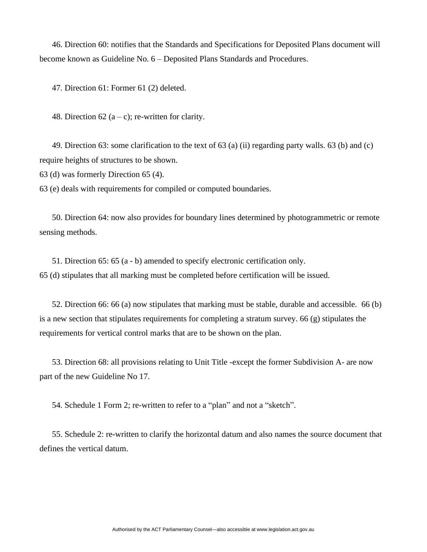46. Direction 60: notifies that the Standards and Specifications for Deposited Plans document will become known as Guideline No. 6 – Deposited Plans Standards and Procedures.

47. Direction 61: Former 61 (2) deleted.

48. Direction 62 (a – c); re-written for clarity.

49. Direction 63: some clarification to the text of 63 (a) (ii) regarding party walls. 63 (b) and (c) require heights of structures to be shown.

63 (d) was formerly Direction 65 (4).

63 (e) deals with requirements for compiled or computed boundaries.

50. Direction 64: now also provides for boundary lines determined by photogrammetric or remote sensing methods.

51. Direction 65: 65 (a - b) amended to specify electronic certification only. 65 (d) stipulates that all marking must be completed before certification will be issued.

52. Direction 66: 66 (a) now stipulates that marking must be stable, durable and accessible. 66 (b) is a new section that stipulates requirements for completing a stratum survey. 66 (g) stipulates the requirements for vertical control marks that are to be shown on the plan.

53. Direction 68: all provisions relating to Unit Title -except the former Subdivision A- are now part of the new Guideline No 17.

54. Schedule 1 Form 2; re-written to refer to a "plan" and not a "sketch".

55. Schedule 2: re-written to clarify the horizontal datum and also names the source document that defines the vertical datum.